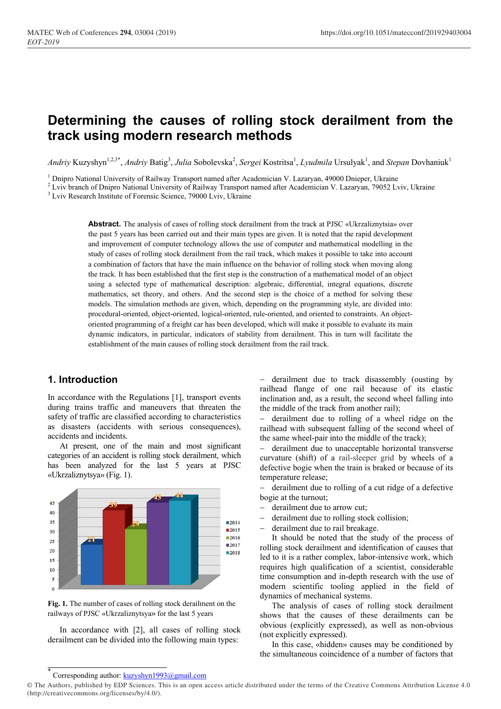# **Determining the causes of rolling stock derailment from the track using modern research methods**

*Andriy* Kuzyshyn<sup>1,2,3\*</sup>, *Andriy* Batig<sup>3</sup>, *Julia* Sobolevska<sup>2</sup>, *Sergei* Kostritsa<sup>1</sup>, *Lyudmila* Ursulyak<sup>1</sup>, and *Stepan* Dovhaniuk<sup>1</sup>

<sup>1</sup> Dnipro National University of Railway Transport named after Academician V. Lazaryan, 49000 Dnieper, Ukraine <sup>2</sup><br><sup>2</sup> Lyiu hranob of Dnipro National University of Bailway Transport named after Academician V. Lazaryan, 70

<sup>2</sup> Lviv branch of Dnipro National University of Railway Transport named after Academician V. Lazaryan, 79052 Lviv, Ukraine

<sup>3</sup> Lviv Research Institute of Forensic Science, 79000 Lviv, Ukraine

**Abstract.** The analysis of cases of rolling stock derailment from the track at PJSC «Ukrzaliznytsia» over the past 5 years has been carried out and their main types are given. It is noted that the rapid development and improvement of computer technology allows the use of computer and mathematical modelling in the study of cases of rolling stock derailment from the rail track, which makes it possible to take into account a combination of factors that have the main influence on the behavior of rolling stock when moving along the track. It has been established that the first step is the construction of a mathematical model of an object using a selected type of mathematical description: algebraic, differential, integral equations, discrete mathematics, set theory, and others. And the second step is the choice of a method for solving these models. The simulation methods are given, which, depending on the programming style, are divided into: procedural-oriented, object-oriented, logical-oriented, rule-oriented, and oriented to constraints. An objectoriented programming of a freight car has been developed, which will make it possible to evaluate its main dynamic indicators, in particular, indicators of stability from derailment. This in turn will facilitate the establishment of the main causes of rolling stock derailment from the rail track.

### **1. Introduction**

In accordance with the Regulations [1], transport events during trains traffic and maneuvers that threaten the safety of traffic are classified according to characteristics as disasters (accidents with serious consequences), accidents and incidents.

At present, one of the main and most significant categories of an accident is rolling stock derailment, which has been analyzed for the last 5 years at PJSC «Ukrzaliznytsya» (Fig. 1).





In accordance with [2], all cases of rolling stock derailment can be divided into the following main types:

 derailment due to track disassembly (ousting by railhead flange of one rail because of its elastic inclination and, as a result, the second wheel falling into the middle of the track from another rail);

 derailment due to rolling of a wheel ridge on the railhead with subsequent falling of the second wheel of the same wheel-pair into the middle of the track);

 derailment due to unacceptable horizontal transverse curvature (shift) of a rail-sleeper grid by wheels of a defective bogie when the train is braked or because of its temperature release;

- derailment due to rolling of a cut ridge of a defective bogie at the turnout;

- derailment due to arrow cut;
- derailment due to rolling stock collision;
- derailment due to rail breakage.

It should be noted that the study of the process of rolling stock derailment and identification of causes that led to it is a rather complex, labor-intensive work, which requires high qualification of a scientist, considerable time consumption and in-depth research with the use of modern scientific tooling applied in the field of dynamics of mechanical systems.

The analysis of cases of rolling stock derailment shows that the causes of these derailments can be obvious (explicitly expressed), as well as non-obvious (not explicitly expressed).

In this case, «hidden» causes may be conditioned by the simultaneous coincidence of a number of factors that

<sup>\*</sup> Corresponding author: kuzyshyn1993@gmail.com

<sup>©</sup> The Authors, published by EDP Sciences. This is an open access article distributed under the terms of the Creative Commons Attribution License 4.0 (http://creativecommons.org/licenses/by/4.0/).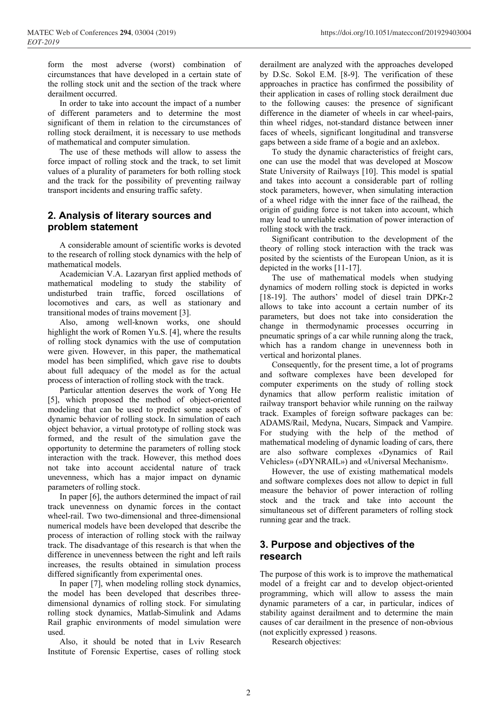form the most adverse (worst) combination of circumstances that have developed in a certain state of the rolling stock unit and the section of the track where derailment occurred.

In order to take into account the impact of a number of different parameters and to determine the most significant of them in relation to the circumstances of rolling stock derailment, it is necessary to use methods of mathematical and computer simulation.

The use of these methods will allow to assess the force impact of rolling stock and the track, to set limit values of a plurality of parameters for both rolling stock and the track for the possibility of preventing railway transport incidents and ensuring traffic safety.

# **2. Analysis of literary sources and problem statement**

A considerable amount of scientific works is devoted to the research of rolling stock dynamics with the help of mathematical models.

Academician V.A. Lazaryan first applied methods of mathematical modeling to study the stability of undisturbed train traffic, forced oscillations of locomotives and cars, as well as stationary and transitional modes of trains movement [3].

Also, among well-known works, one should highlight the work of Romen Yu.S. [4], where the results of rolling stock dynamics with the use of computation were given. However, in this paper, the mathematical model has been simplified, which gave rise to doubts about full adequacy of the model as for the actual process of interaction of rolling stock with the track.

Particular attention deserves the work of Yong He [5], which proposed the method of object-oriented modeling that can be used to predict some aspects of dynamic behavior of rolling stock. In simulation of each object behavior, a virtual prototype of rolling stock was formed, and the result of the simulation gave the opportunity to determine the parameters of rolling stock interaction with the track. However, this method does not take into account accidental nature of track unevenness, which has a major impact on dynamic parameters of rolling stock.

In paper [6], the authors determined the impact of rail track unevenness on dynamic forces in the contact wheel-rail. Two two-dimensional and three-dimensional numerical models have been developed that describe the process of interaction of rolling stock with the railway track. The disadvantage of this research is that when the difference in unevenness between the right and left rails increases, the results obtained in simulation process differed significantly from experimental ones.

In paper [7], when modeling rolling stock dynamics, the model has been developed that describes threedimensional dynamics of rolling stock. For simulating rolling stock dynamics, Matlab-Simulink and Adams Rail graphic environments of model simulation were used.

Also, it should be noted that in Lviv Research Institute of Forensic Expertise, cases of rolling stock

derailment are analyzed with the approaches developed by D.Sc. Sokol E.M. [8-9]. The verification of these approaches in practice has confirmed the possibility of their application in cases of rolling stock derailment due to the following causes: the presence of significant difference in the diameter of wheels in car wheel-pairs, thin wheel ridges, not-standard distance between inner faces of wheels, significant longitudinal and transverse gaps between a side frame of a bogie and an axlebox.

To study the dynamic characteristics of freight cars, one can use the model that was developed at Moscow State University of Railways [10]. This model is spatial and takes into account a considerable part of rolling stock parameters, however, when simulating interaction of a wheel ridge with the inner face of the railhead, the origin of guiding force is not taken into account, which may lead to unreliable estimation of power interaction of rolling stock with the track.

Significant contribution to the development of the theory of rolling stock interaction with the track was posited by the scientists of the European Union, as it is depicted in the works [11-17].

The use of mathematical models when studying dynamics of modern rolling stock is depicted in works [18-19]. The authors' model of diesel train DPKr-2 allows to take into account a certain number of its parameters, but does not take into consideration the change in thermodynamic processes occurring in pneumatic springs of a car while running along the track, which has a random change in unevenness both in vertical and horizontal planes.

Consequently, for the present time, a lot of programs and software complexes have been developed for computer experiments on the study of rolling stock dynamics that allow perform realistic imitation of railway transport behavior while running on the railway track. Examples of foreign software packages can be: ADAMS/Rail, Medyna, Nucars, Simpack and Vampire. For studying with the help of the method of mathematical modeling of dynamic loading of cars, there are also software complexes «Dynamics of Rail Vehicles» («DYNRAIL») and «Universal Mechanism».

However, the use of existing mathematical models and software complexes does not allow to depict in full measure the behavior of power interaction of rolling stock and the track and take into account the simultaneous set of different parameters of rolling stock running gear and the track.

# **3. Purpose and objectives of the research**

The purpose of this work is to improve the mathematical model of a freight car and to develop object-oriented programming, which will allow to assess the main dynamic parameters of a car, in particular, indices of stability against derailment and to determine the main causes of car derailment in the presence of non-obvious (not explicitly expressed ) reasons.

Research objectives: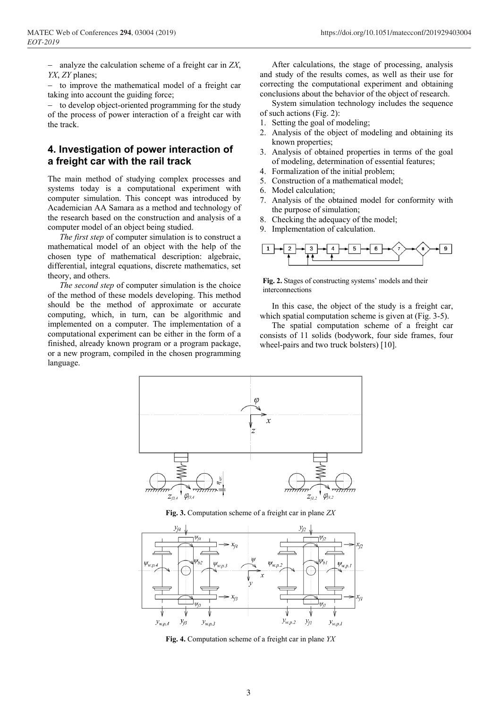analyze the calculation scheme of a freight car in *ZX*, *YX*, *ZY* planes;

 $-$  to improve the mathematical model of a freight car taking into account the guiding force;

- to develop object-oriented programming for the study of the process of power interaction of a freight car with the track.

## **4. Investigation of power interaction of a freight car with the rail track**

The main method of studying complex processes and systems today is a computational experiment with computer simulation. This concept was introduced by Academician AA Samara as a method and technology of the research based on the construction and analysis of a computer model of an object being studied.

*The first step* of computer simulation is to construct a mathematical model of an object with the help of the chosen type of mathematical description: algebraic, differential, integral equations, discrete mathematics, set theory, and others.

*The second step* of computer simulation is the choice of the method of these models developing. This method should be the method of approximate or accurate computing, which, in turn, can be algorithmic and implemented on a computer. The implementation of a computational experiment can be either in the form of a finished, already known program or a program package, or a new program, compiled in the chosen programming language.

After calculations, the stage of processing, analysis and study of the results comes, as well as their use for correcting the computational experiment and obtaining conclusions about the behavior of the object of research.

System simulation technology includes the sequence of such actions (Fig. 2):

- 1. Setting the goal of modeling;
- 2. Analysis of the object of modeling and obtaining its known properties;
- 3. Analysis of obtained properties in terms of the goal of modeling, determination of essential features;
- 4. Formalization of the initial problem;
- 5. Construction of a mathematical model;
- 6. Model calculation;
- 7. Analysis of the obtained model for conformity with the purpose of simulation;
- 8. Checking the adequacy of the model;
- 9. Implementation of calculation.



**Fig. 2.** Stages of constructing systems' models and their interconnections

In this case, the object of the study is a freight car, which spatial computation scheme is given at (Fig. 3-5).

The spatial computation scheme of a freight car consists of 11 solids (bodywork, four side frames, four wheel-pairs and two truck bolsters) [10].



**Fig. 3.** Computation scheme of a freight car in plane *ZX*



**Fig. 4.** Computation scheme of a freight car in plane *YX*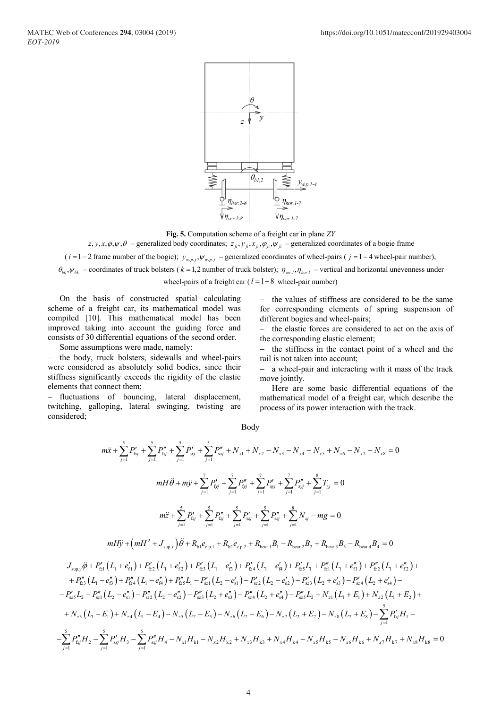

**Fig. 5.** Computation scheme of a freight car in plane *ZY* 

 $z, y, x, \varphi, \psi, \theta$  – generalized body coordinates;  $z_{\beta}, y_{\beta}, x_{\beta}, \varphi_{\beta}, \psi_{\beta}$  – generalized coordinates of a bogie frame

 $(i = 1 - 2$  frame number of the bogie);  $y_{w,p,j}$   $\psi_{w,p,j}$  – generalized coordinates of wheel-pairs ( $j = 1 - 4$  wheel-pair number),

 $\theta_{bk}$ ,  $\psi_{bk}$  – coordinates of truck bolsters ( $k = 1, 2$  number of truck bolster);  $\eta_{ver,l}$ ,  $\eta_{hor,l}$  – vertical and horizontal unevenness under wheel-pairs of a freight car  $(l = 1 - 8$  wheel-pair number)

On the basis of constructed spatial calculating scheme of a freight car, its mathematical model was compiled [10]. This mathematical model has been improved taking into account the guiding force and consists of 30 differential equations of the second order.

Some assumptions were made, namely:

 the body, truck bolsters, sidewalls and wheel-pairs were considered as absolutely solid bodies, since their stiffness significantly exceeds the rigidity of the elastic elements that connect them;

- fluctuations of bouncing, lateral displacement, twitching, galloping, lateral swinging, twisting are considered;

- the values of stiffness are considered to be the same for corresponding elements of spring suspension of different bogies and wheel-pairs;

- the elastic forces are considered to act on the axis of the corresponding elastic element;

 the stiffness in the contact point of a wheel and the rail is not taken into account;

- a wheel-pair and interacting with it mass of the track move jointly.

Here are some basic differential equations of the mathematical model of a freight car, which describe the process of its power interaction with the track.

Body

$$
m\ddot{x} + \sum_{j=1}^{5} P'_{\text{fy}} + \sum_{j=1}^{5} P''_{\text{fy}} + \sum_{j=1}^{5} P'_{\text{xy}} + \sum_{j=1}^{5} P''_{\text{xy}} + N_{x1} + N_{x2} - N_{x3} - N_{x4} + N_{x5} + N_{x6} - N_{x7} - N_{x8} = 0
$$
  

$$
mH\ddot{\theta} + m\ddot{y} + \sum_{j=1}^{7} P'_{\text{fy}} + \sum_{j=1}^{7} P''_{\text{fy}} + \sum_{j=1}^{7} P''_{\text{sy}} + \sum_{j=1}^{7} P''_{\text{sy}} + \sum_{j=1}^{8} T_{\text{sy}} - 0
$$
  

$$
m\ddot{z} + \sum_{j=1}^{5} P'_{\text{fy}} + \sum_{j=1}^{5} P''_{\text{fy}} + \sum_{j=1}^{5} P'_{\text{sy}} + \sum_{j=1}^{5} P''_{\text{szj}} + \sum_{j=1}^{8} N_{\text{zy}} - mg = 0
$$
  

$$
mH\ddot{y} + \left(mH^2 + J_{\text{sup},x}\right)\ddot{\theta} + R_{\text{bl}}e_{\text{cp,1}} + R_{\text{bl}}e_{\text{cp,2}} + R_{\text{beat},1}B_1 - R_{\text{beat},2}B_2 + R_{\text{beat},3}B_3 - R_{\text{beat},4}B_4 = 0
$$

$$
J_{\text{sup},y} \ddot{\phi} + P_{\text{E1}}' (L_1 + e_{11}') + P_{\text{E2}}' (L_1 + e_{12}') + P_{\text{E3}}' (L_1 - e_{13}') + P_{\text{E4}}' (L_1 - e_{14}') + P_{\text{E5}}' L_1 + P_{\text{E1}}'' (L_1 + e_{11}'') + P_{\text{E2}}'' (L_1 + e_{12}'') +
$$
  
+ 
$$
P_{\text{E3}}'' (L_1 - e_{13}'') + P_{\text{E4}}'' (L_1 - e_{14}'') + P_{\text{E5}}'' L_1 - P_{\text{S1}}' (L_2 - e_{13}') - P_{\text{S2}}' (L_2 - e_{32}') - P_{\text{S3}}' (L_2 + e_{33}') - P_{\text{S2}}' (L_2 + e_{34}') -
$$
  
- 
$$
P_{\text{S5}}' L_2 - P_{\text{S1}}'' (L_2 - e_{31}'') - P_{\text{S2}}'' (L_2 - e_{32}'') - P_{\text{S2}}'' (L_2 + e_{33}'') - P_{\text{S2}}'' (L_2 + e_{33}'') - P_{\text{S2}}'' (L_2 + e_{33}'') - P_{\text{S2}}'' (L_2 + e_{33}'') - P_{\text{S2}}'' (L_2 + E_1) + N_{z2} (L_1 + E_2) +
$$
  
+ 
$$
N_{z3} (L_1 - E_1) + N_{z4} (L_1 - E_4) - N_{z5} (L_2 - E_5) - N_{z6} (L_2 - E_6) - N_{z7} (L_2 + E_7) - N_{z8} (L_2 + E_8) - \sum_{j=1}^{5} P_{\text{ky}}' H_1 -
$$
  
- 
$$
\sum_{j=1}^{5} P_{\text{ky}}'' H_2 - \sum_{j=1}^{5} P_{\text{xy}}'' H_3 - \sum_{j=1}^{5} P_{\text{xy}}''' H_4 - N_{x1} H_{k1} - N_{x2} H_{k2} + N_{x3} H_{k3} + N_{x4} H_{k4} - N_{x5} H_{k5} - N_{x6} H_{k6} + N_{x7} H_{k7} + N_{
$$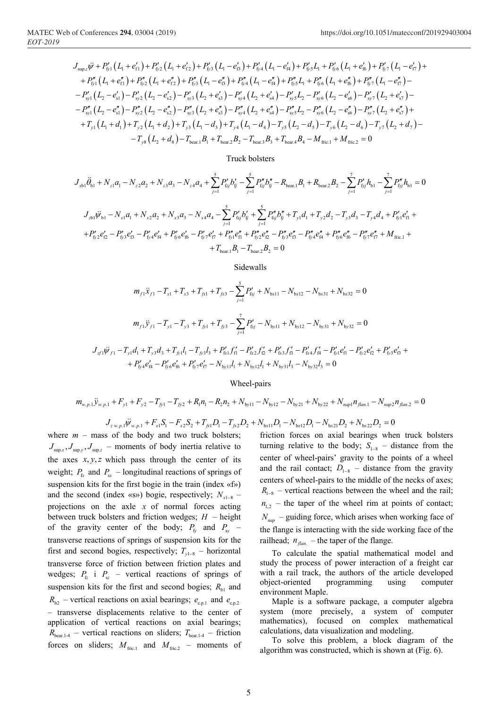$$
J_{\text{sup},z}\ddot{\psi} + P'_{\text{fyl}}(L_1 + e'_{\text{f1}}) + P'_{\text{fyl}}(L_1 + e'_{\text{f2}}) + P'_{\text{fyl}}(L_1 - e'_{\text{f3}}) + P'_{\text{fyl}}(L_1 - e'_{\text{f4}}) + P'_{\text{fyl}}(L_1 + e'_{\text{f6}}) + P'_{\text{fyl}}(L_1 - e'_{\text{f7}}) ++ P''_{\text{fyl}}(L_1 + e''_{\text{f1}}) + P''_{\text{fyl}}(L_1 + e''_{\text{f2}}) + P''_{\text{fyl}}(L_1 - e''_{\text{f3}}) + P''_{\text{fyl}}(L_1 - e''_{\text{f4}}) + P''_{\text{fyl}}(L_1 + e''_{\text{f6}}) + P''_{\text{fyl}}(L_1 - e''_{\text{f7}}) -- P'_{\text{syl}}(L_2 - e'_{\text{s1}}) - P'_{\text{syl}}(L_2 - e'_{\text{s2}}) - P'_{\text{syl}}(L_2 + e'_{\text{s3}}) - P'_{\text{syl}}(L_2 + e'_{\text{s4}}) - P'_{\text{syl}}(L_2 - e'_{\text{s0}}) - P'_{\text{syl}}(L_2 + e'_{\text{s7}}) -- P''_{\text{syl}}(L_2 - e''_{\text{s1}}) - P''_{\text{syl}}(L_2 - e''_{\text{s2}}) - P''_{\text{syl}}(L_2 + e''_{\text{s3}}) - P''_{\text{syl}}(L_2 + e''_{\text{s4}}) - P''_{\text{syl}}(L_2 - e''_{\text{syl}}) - P''_{\text{syl}}(L_2 + e''_{\text{s7}}) -- P''_{\text{syl}}(L_2 - e''_{\text{s1}}) - P''_{\text{syl}}(L_2 - e''_{\text{s2}}) - P''_{\text{syl}}(L_2 + e''_{\text{s3}}) - P''_{\text{syl}}(L_2 + e''_{\text{s4}}) - P''_{\text{syl}}(L_2 - e''_{\text{s0}}) - P''_{\text{syl}}(L_2 + e''_{\text{s7}}) ++ T_{\text{yl}}(L_1 + d_
$$

#### Truck bolsters

$$
J_{xb1}\ddot{\theta}_{b1} + N_{z1}a_1 - N_{z2}a_2 + N_{z3}a_3 - N_{z4}a_4 + \sum_{j=1}^{5} P'_{tj}b'_{tj} - \sum_{j=1}^{5} P''_{tj}b''_{tj} - R_{\text{beat.1}}B_1 + R_{\text{beat.2}}B_2 - \sum_{j=1}^{7} P'_{tj}b'_{tb1} - \sum_{j=1}^{7} P''_{tj}b''_{tb1} = 0
$$
  

$$
J_{xb1}\ddot{\psi}_{b1} - N_{x1}a_1 + N_{x2}a_2 + N_{x3}a_3 - N_{x4}a_4 - \sum_{j=1}^{5} P'_{tj}b'_{tj} + \sum_{j=1}^{5} P''_{tj}b''_{tj} + T_{y1}d_1 + T_{y2}d_2 - T_{y3}d_3 - T_{y4}d_4 + P'_{tj1}e'_{t1} +
$$
  

$$
+ P'_{tj2}e'_{t2} - P'_{tj3}e'_{t3} - P'_{tj4}e'_{t4} + P'_{tj0}e'_{t6} - P'_{tj7}e'_{t7} + P''_{tj1}e''_{t1} + P''_{tj2}e''_{t2} - P''_{tj3}e''_{t3} - P''_{tj4}e''_{t4} + P''_{tj6}e''_{t6} - P''_{tj7}e''_{t7} + M_{\text{fric.1}} +
$$

Sidewalls

 $+ T_{\text{bear.1}} B_1 - T_{\text{bear.2}} B_2 = 0$ 

$$
m_{f1}\ddot{x}_{f1} - T_{x1} + T_{x3} + T_{fx1} + T_{fx3} - \sum_{j=1}^{5} P'_{tyj} + N_{bx11} - N_{bx12} - N_{bx31} + N_{bx32} = 0
$$
  

$$
m_{f1}\ddot{y}_{f1} - T_{y1} - T_{y3} + T_{fy1} + T_{fy3} - \sum_{j=1}^{7} P'_{tyj} - N_{by11} + N_{by12} - N_{by31} + N_{by32} = 0
$$

$$
J_{z/1}\ddot{\psi}_{f1} - T_{y1}d_1 + T_{y3}d_3 + T_{\hat{y}1}\dot{l}_1 - T_{\hat{y}3}\dot{l}_3 + P'_{\hat{k}1}f'_{f1} - P'_{\hat{k}2}f'_{f2} + P'_{\hat{k}3}f'_{f3} - P'_{\hat{k}4}f'_{f4} - P'_{\hat{y}1}e'_{f1} - P'_{\hat{y}2}e'_{f2} + P'_{\hat{y}3}e'_{f3} ++ P'_{\hat{y}4}e'_{f4} - P'_{\hat{y}6}e'_{f6} + P'_{\hat{y}7}e'_{f7} - N_{\hat{y}11}\dot{l}_1 + N_{\hat{y}12}\dot{l}_1 + N_{\hat{y}13}\dot{l}_3 - N_{\hat{y}32}\dot{l}_3 = 0
$$

#### Wheel-pairs

$$
m_{w.p.1}\ddot{y}_{w.p.1} + F_{y1} + F_{y2} - T_{f1} - T_{f2} + R_1n_1 - R_2n_2 + N_{by11} - N_{by12} - N_{by21} + N_{by22} + N_{nap1}n_{flan.1} - N_{nap2}n_{flan.2} = 0
$$

$$
J_{z w, p, 1} \ddot{\psi}_{w, p, 1} + F_{x1} S_1 - F_{x2} S_2 + T_{f x 1} D_1 - T_{f x 2} D_2 + N_{\text{b} x 11} D_1 - N_{\text{b} x 12} D_1 - N_{\text{b} x 21} D_2 + N_{\text{b} x 22} D_2 = 0
$$

where  $m -$  mass of the body and two truck bolsters;  $J_{\text{sup}, x}$ ,  $J_{\text{sup}, y}$ ,  $J_{\text{sup}, z}$  – moments of body inertia relative to the axes  $x, y, z$  which pass through the center of its weight;  $P_{\text{fx}}$  and  $P_{\text{sx}}$  – longitudinal reactions of springs of suspension kits for the first bogie in the train (index «f») and the second (index «s») bogie, respectively;  $N_{\text{max}}$  – projections on the axle *x* of normal forces acting between truck bolsters and friction wedges; *H* – height of the gravity center of the body;  $P_{f_y}$  and  $P_{s_y}$  – transverse reactions of springs of suspension kits for the first and second bogies, respectively;  $T_{v1-8}$  – horizontal transverse force of friction between friction plates and wedges;  $P_{\text{fz}}$  i  $P_{\text{sz}}$  – vertical reactions of springs of suspension kits for the first and second bogies;  $R<sub>b1</sub>$  and  $R_{b2}$  – vertical reactions on axial bearings;  $e_{c,p,1}$  and  $e_{c,p,2}$ – transverse displacements relative to the center of application of vertical reactions on axial bearings;  $R_{\text{beam,1-4}}$  – vertical reactions on sliders;  $T_{\text{beam,1-4}}$  – friction forces on sliders;  $M_{\text{fric},1}$  and  $M_{\text{fric},2}$  – moments of friction forces on axial bearings when truck bolsters turning relative to the body;  $S_{1-8}$  – distance from the center of wheel-pairs' gravity to the points of a wheel and the rail contact;  $D_{1-8}$  – distance from the gravity centers of wheel-pairs to the middle of the necks of axes;  $R_{1-8}$  – vertical reactions between the wheel and the rail;  $n_{1,2}$  – the taper of the wheel rim at points of contact;  $N_{\text{map}}$  – guiding force, which arises when working face of the flange is interacting with the side working face of the railhead;  $n_{\text{flan}}$  – the taper of the flange.

To calculate the spatial mathematical model and study the process of power interaction of a freight car with a rail track, the authors of the article developed object-oriented programming using computer environment Maple.

Maple is a software package, a computer algebra system (more precisely, a system of computer mathematics), focused on complex mathematical calculations, data visualization and modeling.

To solve this problem, a block diagram of the algorithm was constructed, which is shown at (Fig. 6).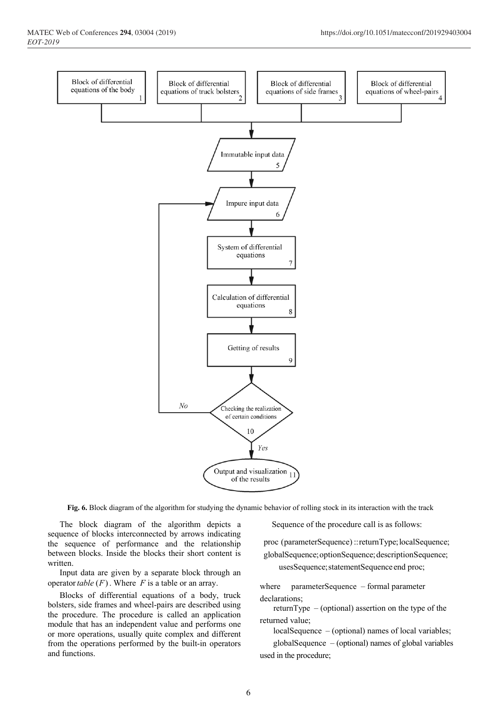

**Fig. 6.** Block diagram of the algorithm for studying the dynamic behavior of rolling stock in its interaction with the track

The block diagram of the algorithm depicts a sequence of blocks interconnected by arrows indicating the sequence of performance and the relationship between blocks. Inside the blocks their short content is written.

Input data are given by a separate block through an operator *table*  $(F)$ . Where  $F$  is a table or an array.

Blocks of differential equations of a body, truck bolsters, side frames and wheel-pairs are described using the procedure. The procedure is called an application module that has an independent value and performs one or more operations, usually quite complex and different from the operations performed by the built-in operators and functions.

Sequence of the procedure call is as follows:

proc (parameterSequence) :: returnType;localSequence; globalSequence;optionSequence;descriptionSequence; usesSequence;statementSequence end proc;

where parameterSequence – formal parameter declarations;

returnType  $-$  (optional) assertion on the type of the returned value;

localSequence – (optional) names of local variables; globalSequence – (optional) names of global variables used in the procedure;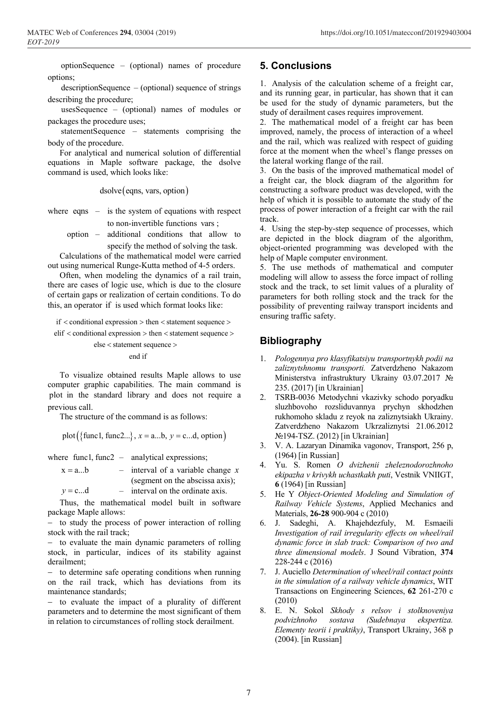optionSequence – (optional) names of procedure options;

descriptionSequence – (optional) sequence of strings describing the procedure;

usesSequence – (optional) names of modules or packages the procedure uses;

statementSequence – statements comprising the body of the procedure.

For analytical and numerical solution of differential equations in Maple software package, the dsolve command is used, which looks like:

 $dsolve(eqns, vars, option)$ 

- where  $\neq$  eqns is the system of equations with respect to non-invertible functions vars ;
	- option additional conditions that allow to specify the method of solving the task.

Calculations of the mathematical model were carried out using numerical Runge-Kutta method of 4-5 orders.

Often, when modeling the dynamics of a rail train, there are cases of logic use, which is due to the closure of certain gaps or realization of certain conditions. To do this, an operator if is used which format looks like:

 $if <$  conditional expression  $>$  then  $<$  statement sequence  $>$  $elif <$  conditional expression  $>$  then  $<$  statement sequence  $>$ else < statement sequence > end if

To visualize obtained results Maple allows to use computer graphic capabilities. The main command is plot in the standard library and does not require a previous call.

The structure of the command is as follows:

plot ({func1, func2...},  $x = a...b$ ,  $y = c...d$ , option)

where func1, func2 – analytical expressions;

 $x = a...b$  – interval of a variable change *x* (segment on the abscissa axis);

 $y = c \dots d$  – interval on the ordinate axis.

Thus, the mathematical model built in software package Maple allows:

- to study the process of power interaction of rolling stock with the rail track;

 $-$  to evaluate the main dynamic parameters of rolling stock, in particular, indices of its stability against derailment;

 $-$  to determine safe operating conditions when running on the rail track, which has deviations from its maintenance standards;

 $-$  to evaluate the impact of a plurality of different parameters and to determine the most significant of them in relation to circumstances of rolling stock derailment.

### **5. Conclusions**

1. Analysis of the calculation scheme of a freight car, and its running gear, in particular, has shown that it can be used for the study of dynamic parameters, but the study of derailment cases requires improvement.

2. The mathematical model of a freight car has been improved, namely, the process of interaction of a wheel and the rail, which was realized with respect of guiding force at the moment when the wheel's flange presses on the lateral working flange of the rail.

3. On the basis of the improved mathematical model of a freight car, the block diagram of the algorithm for constructing a software product was developed, with the help of which it is possible to automate the study of the process of power interaction of a freight car with the rail track.

4. Using the step-by-step sequence of processes, which are depicted in the block diagram of the algorithm, object-oriented programming was developed with the help of Maple computer environment.

5. The use methods of mathematical and computer modeling will allow to assess the force impact of rolling stock and the track, to set limit values of a plurality of parameters for both rolling stock and the track for the possibility of preventing railway transport incidents and ensuring traffic safety.

#### **Bibliography**

- 1. *Pologennya pro klasyfikatsiyu transportnykh podii na zaliznytshnomu transporti.* Zatverdzheno Nakazom Ministerstva infrastruktury Ukrainy 03.07.2017 № 235. (2017) [in Ukrainian]
- 2. TSRB-0036 Metodychni vkazivky schodo poryadku sluzhbovoho rozsliduvannya prychyn skhodzhen rukhomoho skladu z reyok na zaliznytsiakh Ukrainy. Zatverdzheno Nakazom Ukrzaliznytsi 21.06.2012 №194-TSZ. (2012) [in Ukrainian]
- 3. V. A. Lazaryan Dinamika vagonov, Transport, 256 p, (1964) [in Russian]
- 4. Yu. S. Romen *O dvizhenii zheleznodorozhnoho ekipazha v krivykh uchastkakh puti*, Vestnik VNIIGT, **6** (1964) [in Russian]
- 5. He Y *Object-Oriented Modeling and Simulation of Railway Vehicle Systems*, Applied Mechanics and Materials, **26-28** 900-904 с (2010)
- 6. J. Sadeghi, A. Khajehdezfuly, M. Esmaeili *Investigation of rail irregularity effects on wheel/rail dynamic force in slab track: Comparison of two and three dimensional models*. J Sound Vibration, **374** 228-244 с (2016)
- 7. J. Auciello *Determination of wheel/rail contact points in the simulation of a railway vehicle dynamics*, WIT Transactions on Engineering Sciences, **62** 261-270 с (2010)
- 8. E. N. Sokol *Skhody s relsov i stolknoveniya podvizhnoho sostava (Sudebnaya ekspertiza. Elementy teorii i praktiky)*, Transport Ukrainy, 368 p (2004). [in Russian]